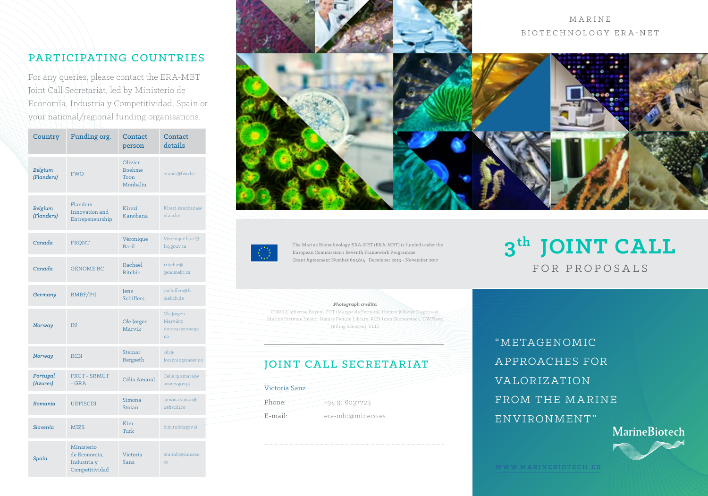## PARTICIPATING COUNTRIES

For any queries, please contact the ERA-MBT Joint Call Secretariat, led by Ministerio de Economía, Industria y Competitividad, Spain or your national/regional funding organisations.

| Country               | Funding org.                                                | Contact<br>person                     | Contact<br>details                               |  |
|-----------------------|-------------------------------------------------------------|---------------------------------------|--------------------------------------------------|--|
| Belgium<br>(Flanders) | <b>FWO</b>                                                  | Olivier<br>Boehme<br>Toon<br>Monbaliu | eranet@fwo.be                                    |  |
| Belgium<br>(Flanders) | Flanders<br>Innovation and<br>Entrepeneurship               | Kirezi<br>Kanobana                    | Kirezi.kanobana@<br>vlaio be                     |  |
| Canada                | FRQNT                                                       | Véronique<br>Baril                    | Veronique.baril@<br>frq.gouv.ca                  |  |
| Canada                | <b>GENOME BC</b>                                            | Rachael<br>Ritchie                    | rritchie@<br>genomebc.ca                         |  |
| Germany               | BMBF/PtJ                                                    | <b>Tens</b><br>Schiffers              | j.schiffers@fz-<br>juelich.de                    |  |
| Norway                | IN                                                          | Ole Jørgen<br>Marvik                  | Ole.Jorgen.<br>Marvik@<br>innovasjonnorge.<br>no |  |
| Norway                | <b>RCN</b>                                                  | <b>Steinar</b><br>Bergseth            | stb@<br>forskningsradet.no                       |  |
| Portugal<br>(Azores)  | <b>FRCT - SRMCT</b><br>$-$ GRA                              | Célia Amaral                          | Celia.jp.amaral@<br>azores.gov.pt                |  |
| Romania               | <b>UEFISCDI</b>                                             | Simona<br>Stoian                      | simona.stoian@<br>uefiscdi.ro                    |  |
| Slovenia              | <b>MIZS</b>                                                 | Kim<br>Turk                           | kim.turk@gov.si                                  |  |
| Spain                 | Ministerio<br>de Economía.<br>Industria y<br>Competitividad | Victoria<br>Sanz.                     | era-mbt@mineco.<br>es                            |  |





The Marine Biotechnology ERA-NET (ERA-MBT) is funded under the European Commission's Seventh Framework Programme. Grant Agreement Number 604814 | December 2013 - November 2017

#### *Photograph credits:*

CNRS (Catherine Boyen), FCT (Margarida Ferreira), Ifremer (Olivier Dugornay), Marine Institute Ireand, Nature Picture Library, RCN from Shutterstock, UWPhoto (Erling Svensen), VLIZ

#### JOINT CALL SECRETARIAT

Victoria Sanz Phone:  $+34916037723$ E-mail: era-mbt@mineco.es

"METAGENOMIC A PPROACHES FOR VA LOR IZ AT ION FROM THE MARINE ENVIRONMENT" **MarineBiotech** 

**3th JOINT CALL**

FOR PROPOSALS